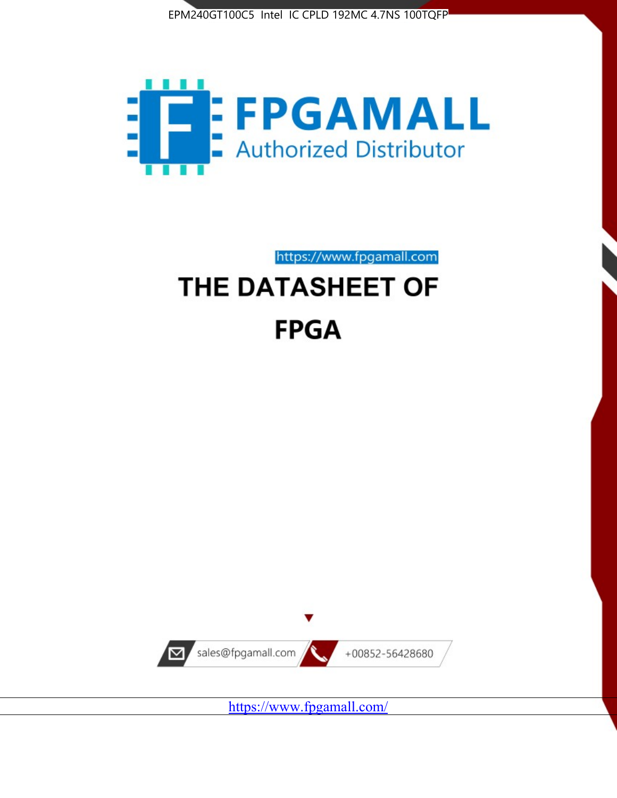



https://www.fpgamall.com

# THE DATASHEET OF **FPGA**



https://www.fpgamall.com/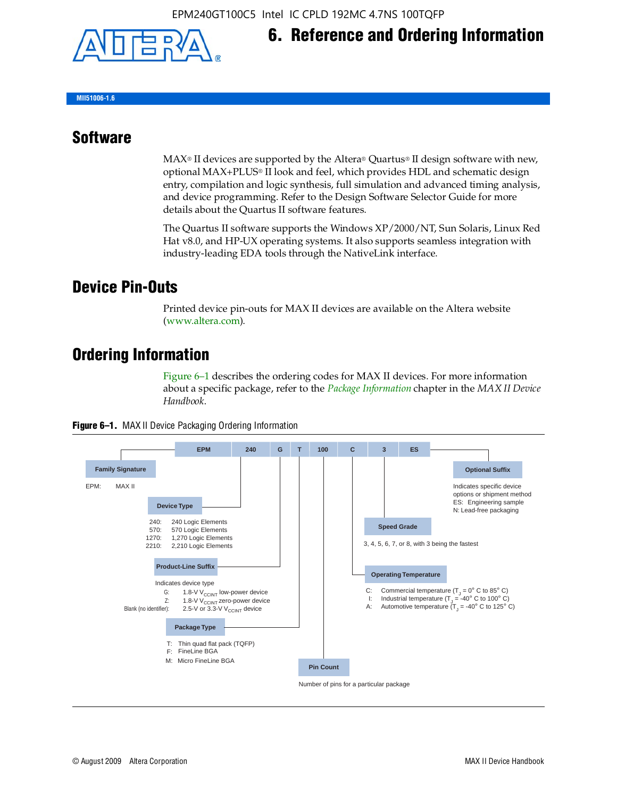

# **6. Reference and Ordering Information**

**MII51006-1.6**

#### **Software**

 $MAX<sup>®</sup>$  II devices are supported by the Altera® Quartus<sup>®</sup> II design software with new, optional MAX+PLUS® II look and feel, which provides HDL and schematic design entry, compilation and logic synthesis, full simulation and advanced timing analysis, and device programming. Refer to the Design Software Selector Guide for more details about the Quartus II software features.

The Quartus II software supports the Windows XP/2000/NT, Sun Solaris, Linux Red Hat v8.0, and HP-UX operating systems. It also supports seamless integration with industry-leading EDA tools through the NativeLink interface.

#### **Device Pin-Outs**

Printed device pin-outs for MAX II devices are available on the Altera website ([www.altera.com](http://www.altera.com/)).

### **Ordering Information**

Figure 6–1 describes the ordering codes for MAX II devices. For more information about a specific package, refer to the *[Package Information](http://www.altera.com/literature/hb/max2/max2_mii51007.pdf)* chapter in the *MAX II Device Handbook*.



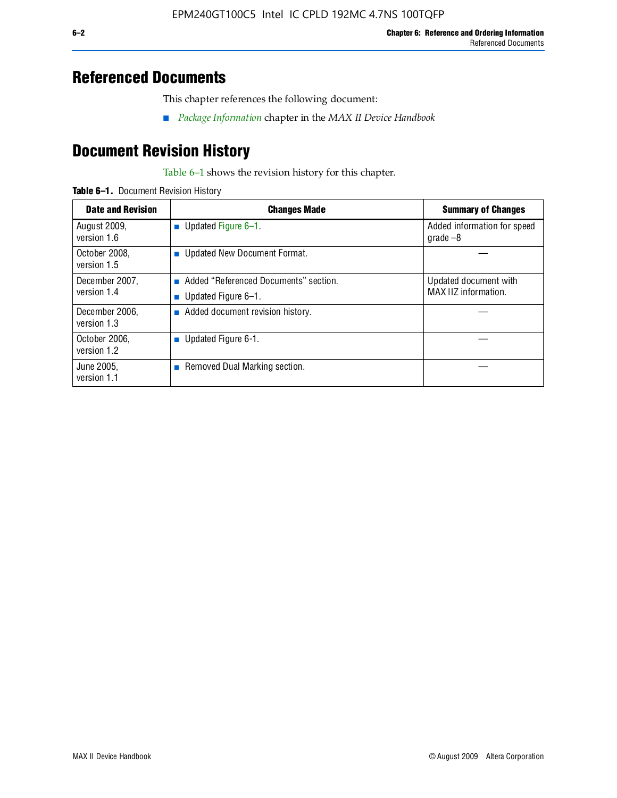## **Referenced Documents**

This chapter references the following document:

■ *[Package Information](http://www.altera.com/literature/hb/max2/max2_mii51007.pdf)* chapter in the *MAX II Device Handbook*

## **Document Revision History**

Table 6–1 shows the revision history for this chapter.

| Table 6-1. Document Revision History |
|--------------------------------------|
|                                      |

| <b>Date and Revision</b>      | <b>Changes Made</b>                                          | <b>Summary of Changes</b>                     |
|-------------------------------|--------------------------------------------------------------|-----------------------------------------------|
| August 2009,<br>version 1.6   | Updated Figure 6-1.<br>п                                     | Added information for speed<br>grade $-8$     |
| October 2008,<br>version 1.5  | Updated New Document Format.                                 |                                               |
| December 2007,<br>version 1.4 | Added "Referenced Documents" section.<br>Updated Figure 6-1. | Updated document with<br>MAX IIZ information. |
| December 2006,<br>version 1.3 | Added document revision history.                             |                                               |
| October 2006.<br>version 1.2  | Updated Figure 6-1.                                          |                                               |
| June 2005.<br>version 1.1     | $\blacksquare$ Removed Dual Marking section.                 |                                               |